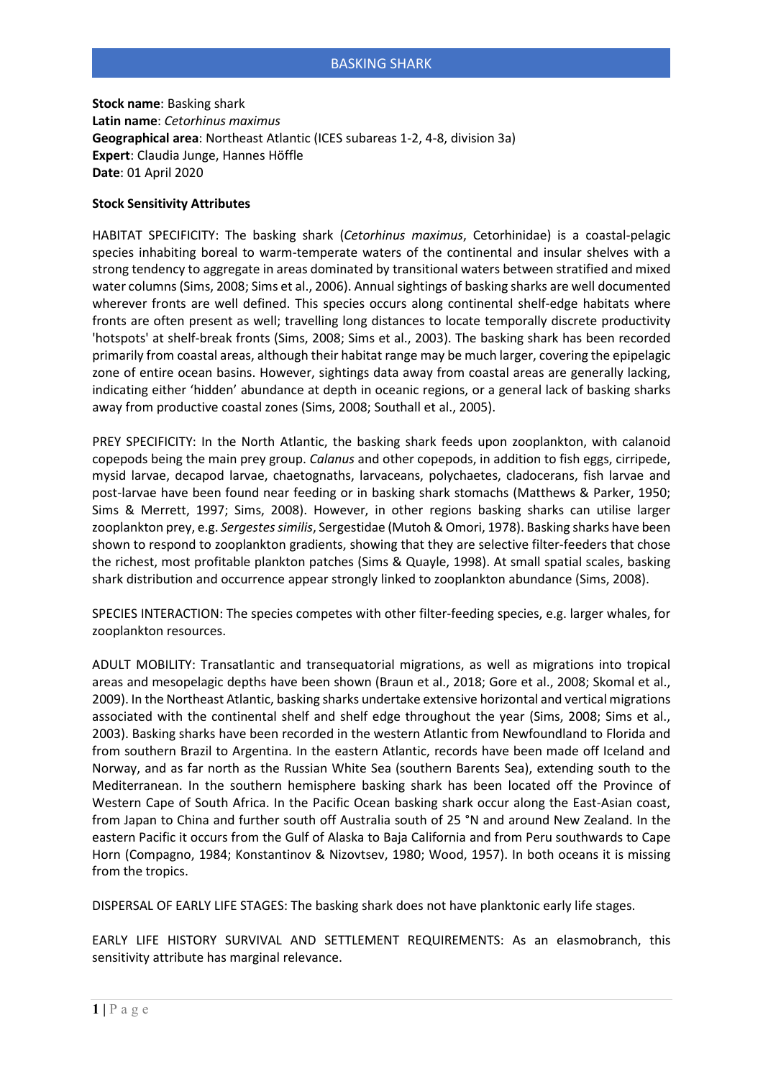**Stock name**: Basking shark **Latin name**: *Cetorhinus maximus* **Geographical area**: Northeast Atlantic (ICES subareas 1-2, 4-8, division 3a) **Expert**: Claudia Junge, Hannes Höffle **Date**: 01 April 2020

## **Stock Sensitivity Attributes**

HABITAT SPECIFICITY: The basking shark (*Cetorhinus maximus*, Cetorhinidae) is a coastal-pelagic species inhabiting boreal to warm-temperate waters of the continental and insular shelves with a strong tendency to aggregate in areas dominated by transitional waters between stratified and mixed water columns (Sims, 2008; Sims et al., 2006). Annual sightings of basking sharks are well documented wherever fronts are well defined. This species occurs along continental shelf-edge habitats where fronts are often present as well; travelling long distances to locate temporally discrete productivity 'hotspots' at shelf-break fronts (Sims, 2008; Sims et al., 2003). The basking shark has been recorded primarily from coastal areas, although their habitat range may be much larger, covering the epipelagic zone of entire ocean basins. However, sightings data away from coastal areas are generally lacking, indicating either 'hidden' abundance at depth in oceanic regions, or a general lack of basking sharks away from productive coastal zones (Sims, 2008; Southall et al., 2005).

PREY SPECIFICITY: In the North Atlantic, the basking shark feeds upon zooplankton, with calanoid copepods being the main prey group. *Calanus* and other copepods, in addition to fish eggs, cirripede, mysid larvae, decapod larvae, chaetognaths, larvaceans, polychaetes, cladocerans, fish larvae and post-larvae have been found near feeding or in basking shark stomachs (Matthews & Parker, 1950; Sims & Merrett, 1997; Sims, 2008). However, in other regions basking sharks can utilise larger zooplankton prey, e.g. *Sergestes similis*, Sergestidae (Mutoh & Omori, 1978). Basking sharks have been shown to respond to zooplankton gradients, showing that they are selective filter-feeders that chose the richest, most profitable plankton patches (Sims & Quayle, 1998). At small spatial scales, basking shark distribution and occurrence appear strongly linked to zooplankton abundance (Sims, 2008).

SPECIES INTERACTION: The species competes with other filter-feeding species, e.g. larger whales, for zooplankton resources.

ADULT MOBILITY: Transatlantic and transequatorial migrations, as well as migrations into tropical areas and mesopelagic depths have been shown (Braun et al., 2018; Gore et al., 2008; Skomal et al., 2009). In the Northeast Atlantic, basking sharks undertake extensive horizontal and vertical migrations associated with the continental shelf and shelf edge throughout the year (Sims, 2008; Sims et al., 2003). Basking sharks have been recorded in the western Atlantic from Newfoundland to Florida and from southern Brazil to Argentina. In the eastern Atlantic, records have been made off Iceland and Norway, and as far north as the Russian White Sea (southern Barents Sea), extending south to the Mediterranean. In the southern hemisphere basking shark has been located off the Province of Western Cape of South Africa. In the Pacific Ocean basking shark occur along the East-Asian coast, from Japan to China and further south off Australia south of 25 °N and around New Zealand. In the eastern Pacific it occurs from the Gulf of Alaska to Baja California and from Peru southwards to Cape Horn (Compagno, 1984; Konstantinov & Nizovtsev, 1980; Wood, 1957). In both oceans it is missing from the tropics.

DISPERSAL OF EARLY LIFE STAGES: The basking shark does not have planktonic early life stages.

EARLY LIFE HISTORY SURVIVAL AND SETTLEMENT REQUIREMENTS: As an elasmobranch, this sensitivity attribute has marginal relevance.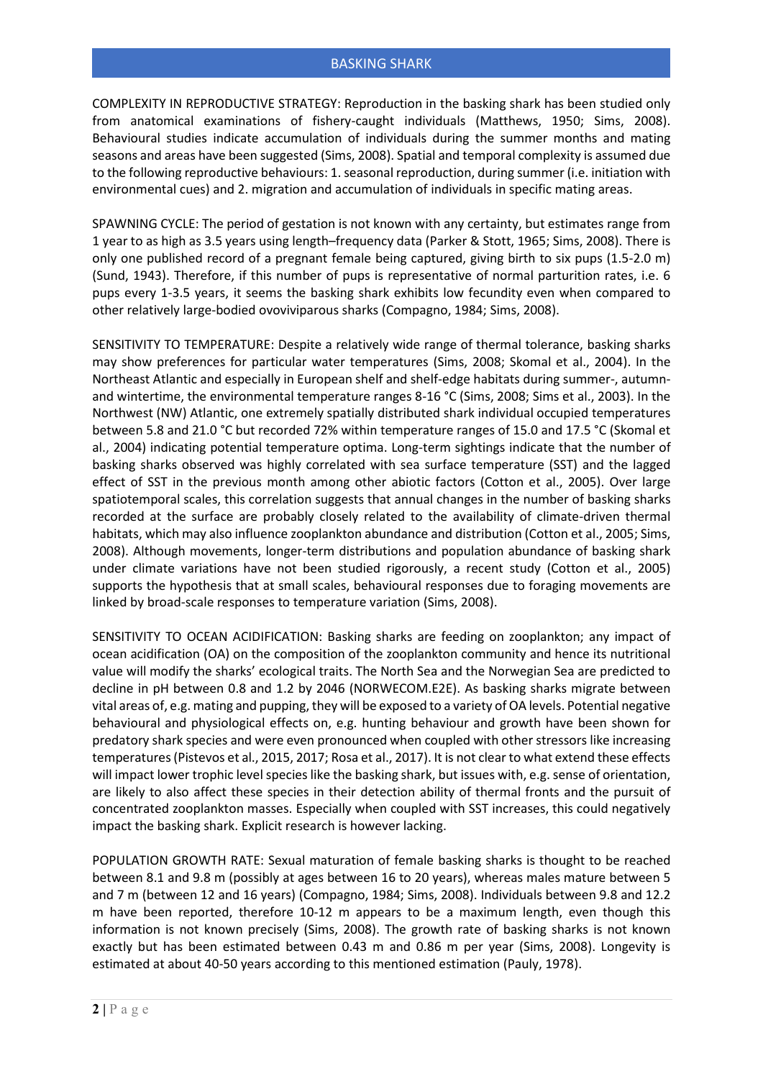COMPLEXITY IN REPRODUCTIVE STRATEGY: Reproduction in the basking shark has been studied only from anatomical examinations of fishery-caught individuals (Matthews, 1950; Sims, 2008). Behavioural studies indicate accumulation of individuals during the summer months and mating seasons and areas have been suggested (Sims, 2008). Spatial and temporal complexity is assumed due to the following reproductive behaviours: 1. seasonal reproduction, during summer (i.e. initiation with environmental cues) and 2. migration and accumulation of individuals in specific mating areas.

SPAWNING CYCLE: The period of gestation is not known with any certainty, but estimates range from 1 year to as high as 3.5 years using length–frequency data (Parker & Stott, 1965; Sims, 2008). There is only one published record of a pregnant female being captured, giving birth to six pups (1.5-2.0 m) (Sund, 1943). Therefore, if this number of pups is representative of normal parturition rates, i.e. 6 pups every 1-3.5 years, it seems the basking shark exhibits low fecundity even when compared to other relatively large-bodied ovoviviparous sharks (Compagno, 1984; Sims, 2008).

SENSITIVITY TO TEMPERATURE: Despite a relatively wide range of thermal tolerance, basking sharks may show preferences for particular water temperatures (Sims, 2008; Skomal et al., 2004). In the Northeast Atlantic and especially in European shelf and shelf-edge habitats during summer-, autumnand wintertime, the environmental temperature ranges 8-16 °C (Sims, 2008; Sims et al., 2003). In the Northwest (NW) Atlantic, one extremely spatially distributed shark individual occupied temperatures between 5.8 and 21.0 °C but recorded 72% within temperature ranges of 15.0 and 17.5 °C (Skomal et al., 2004) indicating potential temperature optima. Long-term sightings indicate that the number of basking sharks observed was highly correlated with sea surface temperature (SST) and the lagged effect of SST in the previous month among other abiotic factors (Cotton et al., 2005). Over large spatiotemporal scales, this correlation suggests that annual changes in the number of basking sharks recorded at the surface are probably closely related to the availability of climate-driven thermal habitats, which may also influence zooplankton abundance and distribution (Cotton et al., 2005; Sims, 2008). Although movements, longer-term distributions and population abundance of basking shark under climate variations have not been studied rigorously, a recent study (Cotton et al., 2005) supports the hypothesis that at small scales, behavioural responses due to foraging movements are linked by broad-scale responses to temperature variation (Sims, 2008).

SENSITIVITY TO OCEAN ACIDIFICATION: Basking sharks are feeding on zooplankton; any impact of ocean acidification (OA) on the composition of the zooplankton community and hence its nutritional value will modify the sharks' ecological traits. The North Sea and the Norwegian Sea are predicted to decline in pH between 0.8 and 1.2 by 2046 (NORWECOM.E2E). As basking sharks migrate between vital areas of, e.g. mating and pupping, they will be exposed to a variety of OA levels. Potential negative behavioural and physiological effects on, e.g. hunting behaviour and growth have been shown for predatory shark species and were even pronounced when coupled with other stressors like increasing temperatures (Pistevos et al., 2015, 2017; Rosa et al., 2017). It is not clear to what extend these effects will impact lower trophic level species like the basking shark, but issues with, e.g. sense of orientation, are likely to also affect these species in their detection ability of thermal fronts and the pursuit of concentrated zooplankton masses. Especially when coupled with SST increases, this could negatively impact the basking shark. Explicit research is however lacking.

POPULATION GROWTH RATE: Sexual maturation of female basking sharks is thought to be reached between 8.1 and 9.8 m (possibly at ages between 16 to 20 years), whereas males mature between 5 and 7 m (between 12 and 16 years) (Compagno, 1984; Sims, 2008). Individuals between 9.8 and 12.2 m have been reported, therefore 10-12 m appears to be a maximum length, even though this information is not known precisely (Sims, 2008). The growth rate of basking sharks is not known exactly but has been estimated between 0.43 m and 0.86 m per year (Sims, 2008). Longevity is estimated at about 40-50 years according to this mentioned estimation (Pauly, 1978).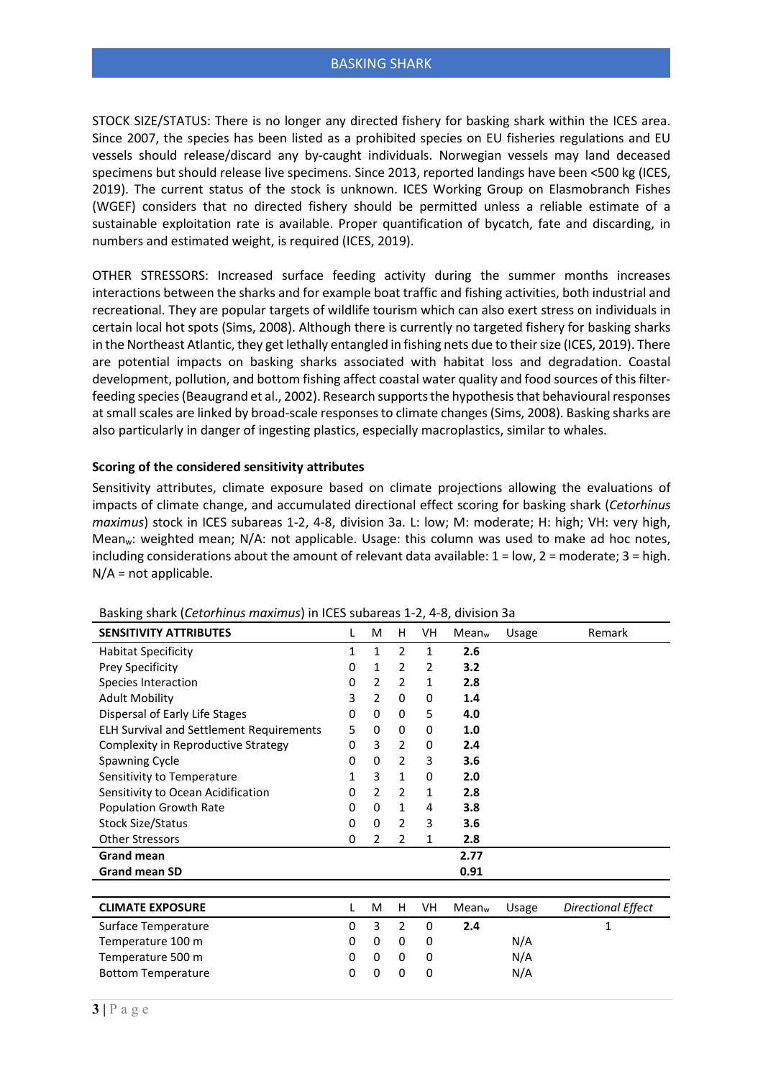STOCK SIZE/STATUS: There is no longer any directed fishery for basking shark within the ICES area. Since 2007, the species has been listed as a prohibited species on EU fisheries regulations and EU vessels should release/discard any by-caught individuals. Norwegian vessels may land deceased specimens but should release live specimens. Since 2013, reported landings have been <500 kg (ICES, 2019). The current status of the stock is unknown. ICES Working Group on Elasmobranch Fishes (WGEF) considers that no directed fishery should be permitted unless a reliable estimate of a sustainable exploitation rate is available. Proper quantification of bycatch, fate and discarding, in numbers and estimated weight, is required (ICES, 2019).

OTHER STRESSORS: Increased surface feeding activity during the summer months increases interactions between the sharks and for example boat traffic and fishing activities, both industrial and recreational. They are popular targets of wildlife tourism which can also exert stress on individuals in certain local hot spots (Sims, 2008). Although there is currently no targeted fishery for basking sharks in the Northeast Atlantic, they get lethally entangled in fishing nets due to their size (ICES, 2019). There are potential impacts on basking sharks associated with habitat loss and degradation. Coastal development, pollution, and bottom fishing affect coastal water quality and food sources of this filterfeeding species (Beaugrand et al., 2002). Research supports the hypothesis that behavioural responses at small scales are linked by broad-scale responses to climate changes (Sims, 2008). Basking sharks are also particularly in danger of ingesting plastics, especially macroplastics, similar to whales.

## **Scoring of the considered sensitivity attributes**

Sensitivity attributes, climate exposure based on climate projections allowing the evaluations of impacts of climate change, and accumulated directional effect scoring for basking shark (*Cetorhinus maximus*) stock in ICES subareas 1-2, 4-8, division 3a. L: low; M: moderate; H: high; VH: very high, Mean<sub>w</sub>: weighted mean; N/A: not applicable. Usage: this column was used to make ad hoc notes, including considerations about the amount of relevant data available:  $1 = low$ ,  $2 = moderate$ ;  $3 = high$ .  $N/A$  = not applicable.

| <b>SENSITIVITY ATTRIBUTES</b>                   | L | M              | н              | VH           | Mean <sub>w</sub> | Usage | Remark                    |
|-------------------------------------------------|---|----------------|----------------|--------------|-------------------|-------|---------------------------|
| <b>Habitat Specificity</b>                      | 1 | $\mathbf{1}$   | $\overline{2}$ | $\mathbf{1}$ | 2.6               |       |                           |
| Prey Specificity                                | 0 | $\mathbf{1}$   | $\overline{2}$ | 2            | 3.2               |       |                           |
| Species Interaction                             | 0 | $\overline{2}$ | $\overline{2}$ | $\mathbf{1}$ | 2.8               |       |                           |
| <b>Adult Mobility</b>                           | 3 | 2              | 0              | 0            | 1.4               |       |                           |
| Dispersal of Early Life Stages                  | 0 | $\Omega$       | 0              | 5            | 4.0               |       |                           |
| <b>ELH Survival and Settlement Requirements</b> | 5 | 0              | 0              | 0            | 1.0               |       |                           |
| Complexity in Reproductive Strategy             | 0 | 3              | 2              | 0            | 2.4               |       |                           |
| Spawning Cycle                                  | 0 | 0              | $\overline{2}$ | 3            | 3.6               |       |                           |
| Sensitivity to Temperature                      | 1 | 3              | 1              | 0            | 2.0               |       |                           |
| Sensitivity to Ocean Acidification              | 0 | $\overline{2}$ | $\overline{2}$ | 1            | 2.8               |       |                           |
| Population Growth Rate                          | 0 | $\Omega$       | $\mathbf{1}$   | 4            | 3.8               |       |                           |
| <b>Stock Size/Status</b>                        | 0 | $\Omega$       | 2              | 3            | 3.6               |       |                           |
| <b>Other Stressors</b>                          | 0 | $\overline{2}$ | $\overline{2}$ | 1            | 2.8               |       |                           |
| <b>Grand mean</b>                               |   |                |                |              | 2.77              |       |                           |
| <b>Grand mean SD</b>                            |   |                |                |              | 0.91              |       |                           |
|                                                 |   |                |                |              |                   |       |                           |
| <b>CLIMATE EXPOSURE</b>                         | L | M              | H              | VH           | Mean <sub>w</sub> | Usage | <b>Directional Effect</b> |
| Surface Temperature                             | 0 | 3              | $\overline{2}$ | $\Omega$     | 2.4               |       | 1                         |
| Temperature 100 m                               | 0 | 0              | $\Omega$       | 0            |                   | N/A   |                           |
| Temperature 500 m                               | 0 | 0              | 0              | 0            |                   | N/A   |                           |
| <b>Bottom Temperature</b>                       | 0 | 0              | 0              | 0            |                   | N/A   |                           |
|                                                 |   |                |                |              |                   |       |                           |

Basking shark (*Cetorhinus maximus*) in ICES subareas 1-2, 4-8, division 3a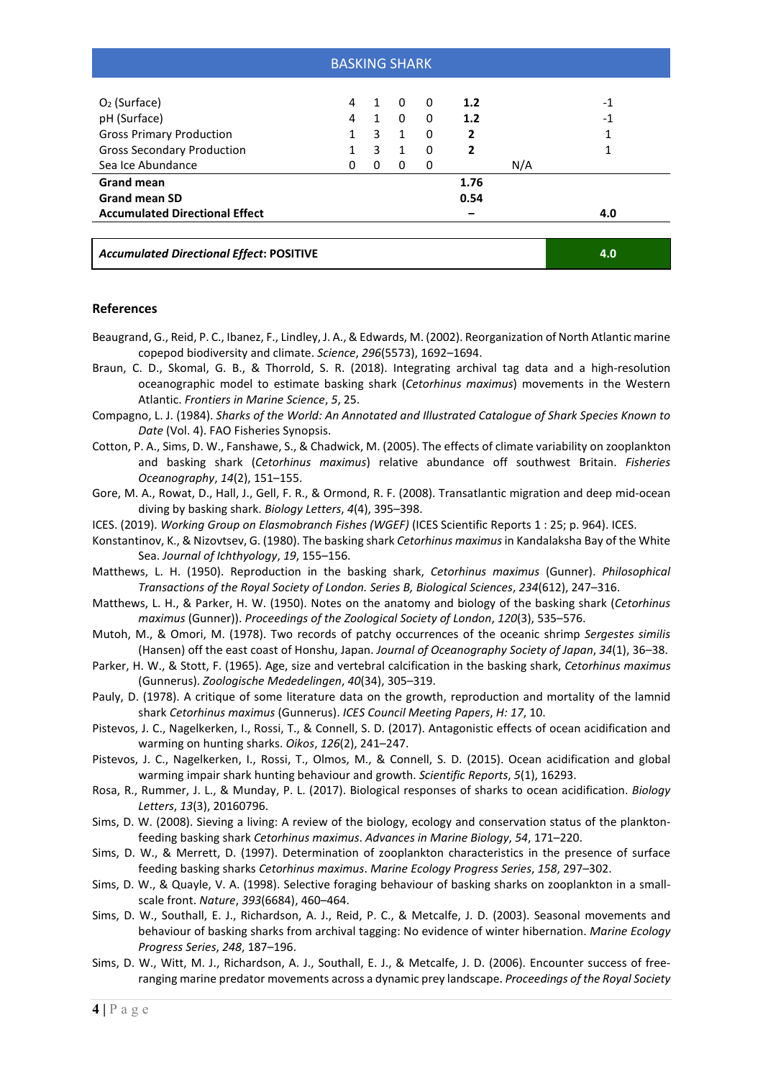| <b>BASKING SHARK</b>                            |              |              |              |          |      |     |      |  |  |  |  |  |
|-------------------------------------------------|--------------|--------------|--------------|----------|------|-----|------|--|--|--|--|--|
| $O2$ (Surface)                                  | 4            | 1            | 0            | 0        | 1.2  |     | $-1$ |  |  |  |  |  |
| pH (Surface)                                    | 4            | $\mathbf{1}$ | 0            | 0        | 1.2  |     | $-1$ |  |  |  |  |  |
| <b>Gross Primary Production</b>                 | $\mathbf{1}$ | 3            | $\mathbf{1}$ | $\Omega$ | 2    |     | 1    |  |  |  |  |  |
| <b>Gross Secondary Production</b>               | 1            | 3            | $\mathbf{1}$ | $\Omega$ | 2    |     | 1    |  |  |  |  |  |
| Sea Ice Abundance                               | 0            | $\Omega$     | 0            | 0        |      | N/A |      |  |  |  |  |  |
| <b>Grand mean</b>                               |              |              |              |          | 1.76 |     |      |  |  |  |  |  |
| <b>Grand mean SD</b>                            |              |              |              |          | 0.54 |     |      |  |  |  |  |  |
| <b>Accumulated Directional Effect</b>           |              |              |              |          |      |     | 4.0  |  |  |  |  |  |
|                                                 |              |              |              |          |      |     |      |  |  |  |  |  |
| <b>Accumulated Directional Effect: POSITIVE</b> |              |              |              |          |      |     | 4.0  |  |  |  |  |  |

## **References**

- Beaugrand, G., Reid, P. C., Ibanez, F., Lindley, J. A., & Edwards, M. (2002). Reorganization of North Atlantic marine copepod biodiversity and climate. *Science*, *296*(5573), 1692–1694.
- Braun, C. D., Skomal, G. B., & Thorrold, S. R. (2018). Integrating archival tag data and a high-resolution oceanographic model to estimate basking shark (*Cetorhinus maximus*) movements in the Western Atlantic. *Frontiers in Marine Science*, *5*, 25.
- Compagno, L. J. (1984). *Sharks of the World: An Annotated and Illustrated Catalogue of Shark Species Known to Date* (Vol. 4). FAO Fisheries Synopsis.
- Cotton, P. A., Sims, D. W., Fanshawe, S., & Chadwick, M. (2005). The effects of climate variability on zooplankton and basking shark (*Cetorhinus maximus*) relative abundance off southwest Britain. *Fisheries Oceanography*, *14*(2), 151–155.
- Gore, M. A., Rowat, D., Hall, J., Gell, F. R., & Ormond, R. F. (2008). Transatlantic migration and deep mid-ocean diving by basking shark. *Biology Letters*, *4*(4), 395–398.
- ICES. (2019). *Working Group on Elasmobranch Fishes (WGEF)* (ICES Scientific Reports 1 : 25; p. 964). ICES.
- Konstantinov, K., & Nizovtsev, G. (1980). The basking shark *Cetorhinus maximus*in Kandalaksha Bay of the White Sea. *Journal of Ichthyology*, *19*, 155–156.
- Matthews, L. H. (1950). Reproduction in the basking shark, *Cetorhinus maximus* (Gunner). *Philosophical Transactions of the Royal Society of London. Series B, Biological Sciences*, *234*(612), 247–316.
- Matthews, L. H., & Parker, H. W. (1950). Notes on the anatomy and biology of the basking shark (*Cetorhinus maximus* (Gunner)). *Proceedings of the Zoological Society of London*, *120*(3), 535–576.
- Mutoh, M., & Omori, M. (1978). Two records of patchy occurrences of the oceanic shrimp *Sergestes similis* (Hansen) off the east coast of Honshu, Japan. *Journal of Oceanography Society of Japan*, *34*(1), 36–38.
- Parker, H. W., & Stott, F. (1965). Age, size and vertebral calcification in the basking shark, *Cetorhinus maximus* (Gunnerus). *Zoologische Mededelingen*, *40*(34), 305–319.
- Pauly, D. (1978). A critique of some literature data on the growth, reproduction and mortality of the lamnid shark *Cetorhinus maximus* (Gunnerus). *ICES Council Meeting Papers*, *H: 17*, 10.
- Pistevos, J. C., Nagelkerken, I., Rossi, T., & Connell, S. D. (2017). Antagonistic effects of ocean acidification and warming on hunting sharks. *Oikos*, *126*(2), 241–247.
- Pistevos, J. C., Nagelkerken, I., Rossi, T., Olmos, M., & Connell, S. D. (2015). Ocean acidification and global warming impair shark hunting behaviour and growth. *Scientific Reports*, *5*(1), 16293.
- Rosa, R., Rummer, J. L., & Munday, P. L. (2017). Biological responses of sharks to ocean acidification. *Biology Letters*, *13*(3), 20160796.
- Sims, D. W. (2008). Sieving a living: A review of the biology, ecology and conservation status of the planktonfeeding basking shark *Cetorhinus maximus*. *Advances in Marine Biology*, *54*, 171–220.
- Sims, D. W., & Merrett, D. (1997). Determination of zooplankton characteristics in the presence of surface feeding basking sharks *Cetorhinus maximus*. *Marine Ecology Progress Series*, *158*, 297–302.
- Sims, D. W., & Quayle, V. A. (1998). Selective foraging behaviour of basking sharks on zooplankton in a smallscale front. *Nature*, *393*(6684), 460–464.
- Sims, D. W., Southall, E. J., Richardson, A. J., Reid, P. C., & Metcalfe, J. D. (2003). Seasonal movements and behaviour of basking sharks from archival tagging: No evidence of winter hibernation. *Marine Ecology Progress Series*, *248*, 187–196.
- Sims, D. W., Witt, M. J., Richardson, A. J., Southall, E. J., & Metcalfe, J. D. (2006). Encounter success of freeranging marine predator movements across a dynamic prey landscape. *Proceedings of the Royal Society*